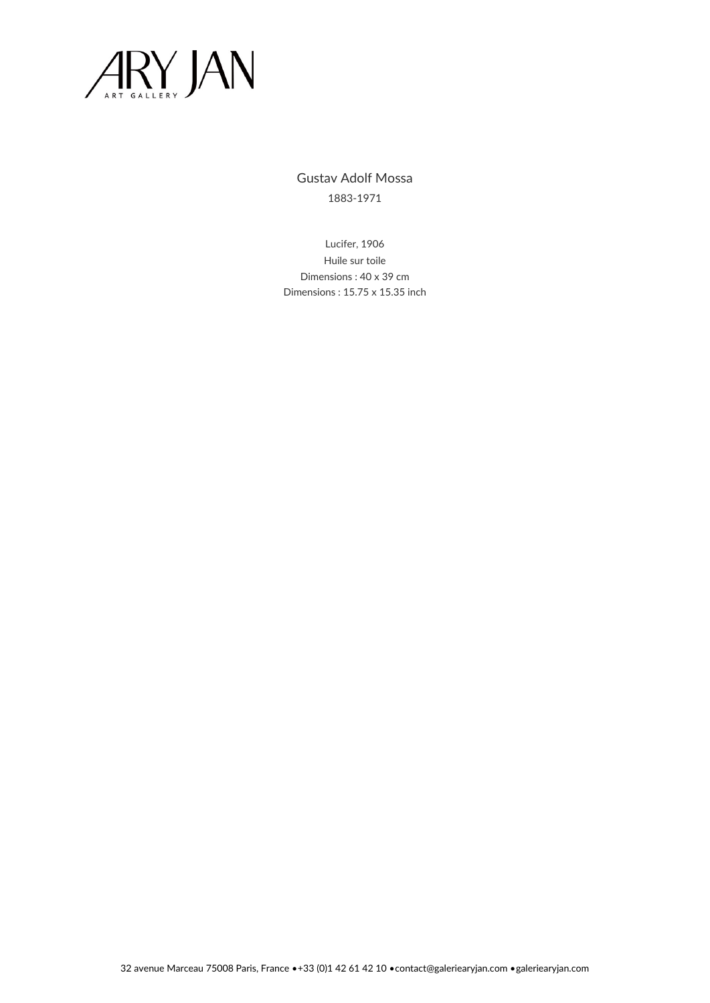

Gustav Adolf Mossa 1883-1971

Lucifer, 1906 Huile sur toile Dimensions : 40 x 39 cm Dimensions : 15.75 x 15.35 inch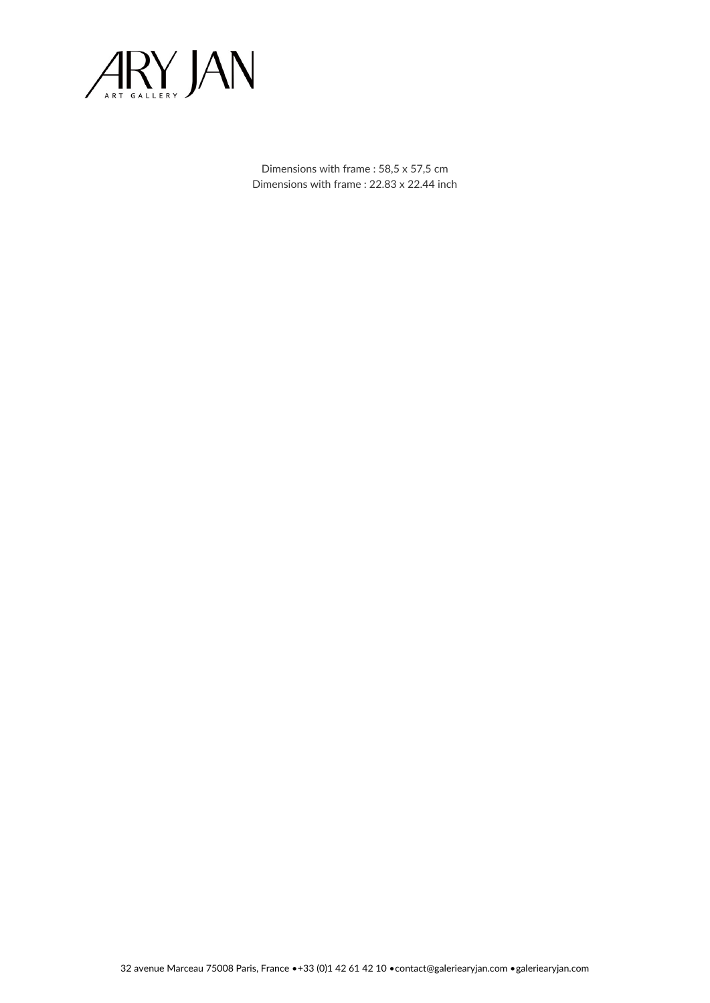

Dimensions with frame : 58,5 x 57,5 cm Dimensions with frame : 22.83 x 22.44 inch